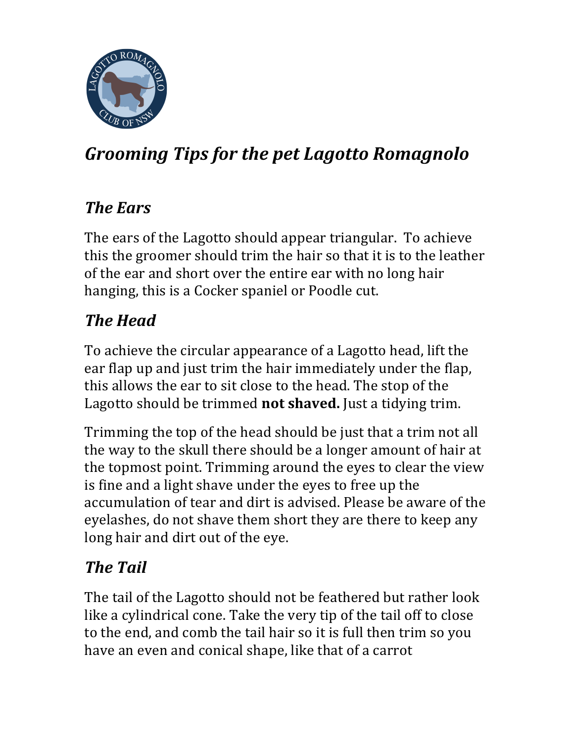

# *Grooming Tips for the pet Lagotto Romagnolo*

#### **The Ears**

The ears of the Lagotto should appear triangular. To achieve this the groomer should trim the hair so that it is to the leather of the ear and short over the entire ear with no long hair hanging, this is a Cocker spaniel or Poodle cut.

## *The Head*

To achieve the circular appearance of a Lagotto head, lift the ear flap up and just trim the hair immediately under the flap, this allows the ear to sit close to the head. The stop of the Lagotto should be trimmed **not shaved**. Just a tidying trim.

Trimming the top of the head should be just that a trim not all the way to the skull there should be a longer amount of hair at the topmost point. Trimming around the eyes to clear the view is fine and a light shave under the eyes to free up the accumulation of tear and dirt is advised. Please be aware of the eyelashes, do not shave them short they are there to keep any long hair and dirt out of the eye.

## *The Tail*

The tail of the Lagotto should not be feathered but rather look like a cylindrical cone. Take the very tip of the tail off to close to the end, and comb the tail hair so it is full then trim so you have an even and conical shape, like that of a carrot